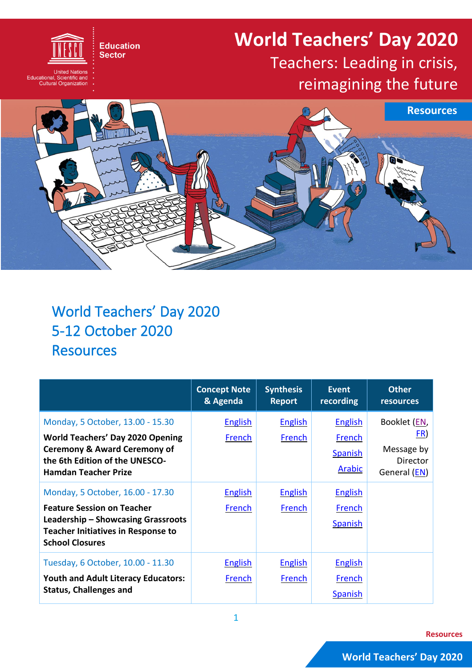## **World Teachers' Day 2020** Teachers: Leading in crisis,

## reimagining the future



## World Teachers' Day 2020 5-12 October 2020 **Resources**

**Education Sector** 

United Nations<br>Educational, Scientific and<br>Cultural Organization

|                                                                                                                                                                                         | <b>Concept Note</b><br>& Agenda | <b>Synthesis</b><br><b>Report</b> | Event<br>recording                                          | <b>Other</b><br><b>resources</b>                                            |
|-----------------------------------------------------------------------------------------------------------------------------------------------------------------------------------------|---------------------------------|-----------------------------------|-------------------------------------------------------------|-----------------------------------------------------------------------------|
| Monday, 5 October, 13.00 - 15.30<br><b>World Teachers' Day 2020 Opening</b><br><b>Ceremony &amp; Award Ceremony of</b><br>the 6th Edition of the UNESCO-<br><b>Hamdan Teacher Prize</b> | <b>English</b><br>French        | <b>English</b><br>French          | <b>English</b><br>French<br><b>Spanish</b><br><b>Arabic</b> | Booklet (EN,<br><u>FR)</u><br>Message by<br><b>Director</b><br>General (EN) |
| Monday, 5 October, 16.00 - 17.30<br><b>Feature Session on Teacher</b><br>Leadership – Showcasing Grassroots<br><b>Teacher Initiatives in Response to</b><br><b>School Closures</b>      | <b>English</b><br>French        | <b>English</b><br>French          | <b>English</b><br>French<br><b>Spanish</b>                  |                                                                             |
| Tuesday, 6 October, 10.00 - 11.30<br><b>Youth and Adult Literacy Educators:</b><br><b>Status, Challenges and</b>                                                                        | <b>English</b><br>French        | <b>English</b><br>French          | <b>English</b><br>French<br><b>Spanish</b>                  |                                                                             |

**Resources**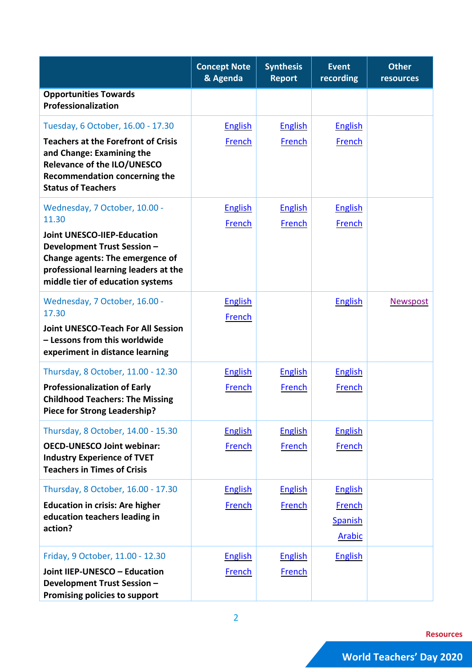|                                                                                                                                                                                  | <b>Concept Note</b><br>& Agenda | <b>Synthesis</b><br><b>Report</b> | <b>Event</b><br>recording | <b>Other</b><br>resources |
|----------------------------------------------------------------------------------------------------------------------------------------------------------------------------------|---------------------------------|-----------------------------------|---------------------------|---------------------------|
| <b>Opportunities Towards</b><br>Professionalization                                                                                                                              |                                 |                                   |                           |                           |
| Tuesday, 6 October, 16.00 - 17.30                                                                                                                                                | <b>English</b>                  | <b>English</b>                    | <b>English</b>            |                           |
| <b>Teachers at the Forefront of Crisis</b><br>and Change: Examining the<br>Relevance of the ILO/UNESCO<br><b>Recommendation concerning the</b><br><b>Status of Teachers</b>      | French                          | French                            | French                    |                           |
| Wednesday, 7 October, 10.00 -<br>11.30                                                                                                                                           | <b>English</b><br>French        | <b>English</b>                    | <b>English</b><br>French  |                           |
| <b>Joint UNESCO-IIEP-Education</b><br>Development Trust Session -<br>Change agents: The emergence of<br>professional learning leaders at the<br>middle tier of education systems |                                 | French                            |                           |                           |
| Wednesday, 7 October, 16.00 -                                                                                                                                                    | <b>English</b>                  |                                   | <b>English</b>            | <b>Newspost</b>           |
| 17.30<br><b>Joint UNESCO-Teach For All Session</b><br>- Lessons from this worldwide<br>experiment in distance learning                                                           | French                          |                                   |                           |                           |
| Thursday, 8 October, 11.00 - 12.30                                                                                                                                               | <b>English</b>                  | <b>English</b>                    | <b>English</b>            |                           |
| <b>Professionalization of Early</b><br><b>Childhood Teachers: The Missing</b><br><b>Piece for Strong Leadership?</b>                                                             | French                          | <b>French</b>                     | <b>French</b>             |                           |
| Thursday, 8 October, 14.00 - 15.30                                                                                                                                               | <b>English</b>                  | <b>English</b>                    | <b>English</b>            |                           |
| <b>OECD-UNESCO Joint webinar:</b><br><b>Industry Experience of TVET</b><br><b>Teachers in Times of Crisis</b>                                                                    | <b>French</b>                   | French                            | <b>French</b>             |                           |
| Thursday, 8 October, 16.00 - 17.30                                                                                                                                               | <b>English</b>                  | <b>English</b>                    | <b>English</b>            |                           |
| <b>Education in crisis: Are higher</b>                                                                                                                                           | <b>French</b>                   | <b>French</b>                     | <b>French</b>             |                           |
| education teachers leading in<br>action?                                                                                                                                         |                                 |                                   | Spanish<br><b>Arabic</b>  |                           |
| Friday, 9 October, 11.00 - 12.30                                                                                                                                                 | <b>English</b>                  | <b>English</b>                    | <b>English</b>            |                           |
| Joint IIEP-UNESCO - Education<br>Development Trust Session -<br>Promising policies to support                                                                                    | <b>French</b>                   | <b>French</b>                     |                           |                           |

**Resources**